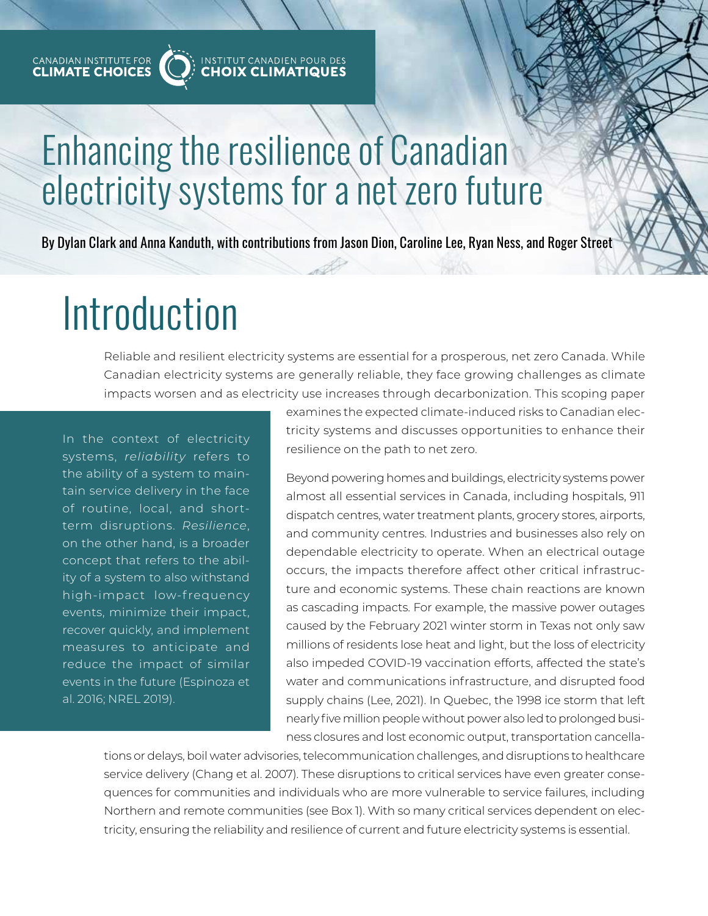

# Enhancing the resilience of Canadian Enhancing the resilience of Canadian electricity systems for a net zero future electricity systems for a net zero future

By Dylan Clark and Anna Kanduth, with contributions from Jason Dion, Caroline Lee, Ryan Ness, and Roger Street

# Introduction

Reliable and resilient electricity systems are essential for a prosperous, net zero Canada. While Canadian electricity systems are generally reliable, they face growing challenges as climate impacts worsen and as electricity use increases through decarbonization. This scoping paper

In the context of electricity systems, *reliability* refers to the ability of a system to maintain service delivery in the face of routine, local, and shortterm disruptions. *Resilience*, on the other hand, is a broader concept that refers to the ability of a system to also withstand high-impact low-frequency events, minimize their impact, recover quickly, and implement measures to anticipate and reduce the impact of similar events in the future (Espinoza et al. 2016; NREL 2019).

examines the expected climate-induced risks to Canadian electricity systems and discusses opportunities to enhance their resilience on the path to net zero.

Beyond powering homes and buildings, electricity systems power almost all essential services in Canada, including hospitals, 911 dispatch centres, water treatment plants, grocery stores, airports, and community centres. Industries and businesses also rely on dependable electricity to operate. When an electrical outage occurs, the impacts therefore affect other critical infrastructure and economic systems. These chain reactions are known as cascading impacts. For example, the massive power outages caused by the February 2021 winter storm in Texas not only saw millions of residents lose heat and light, but the loss of electricity also impeded COVID-19 vaccination efforts, affected the state's water and communications infrastructure, and disrupted food supply chains (Lee, 2021). In Quebec, the 1998 ice storm that left nearly five million people without power also led to prolonged business closures and lost economic output, transportation cancella-

tions or delays, boil water advisories, telecommunication challenges, and disruptions to healthcare service delivery (Chang et al. 2007). These disruptions to critical services have even greater consequences for communities and individuals who are more vulnerable to service failures, including Northern and remote communities (see Box 1). With so many critical services dependent on electricity, ensuring the reliability and resilience of current and future electricity systems is essential.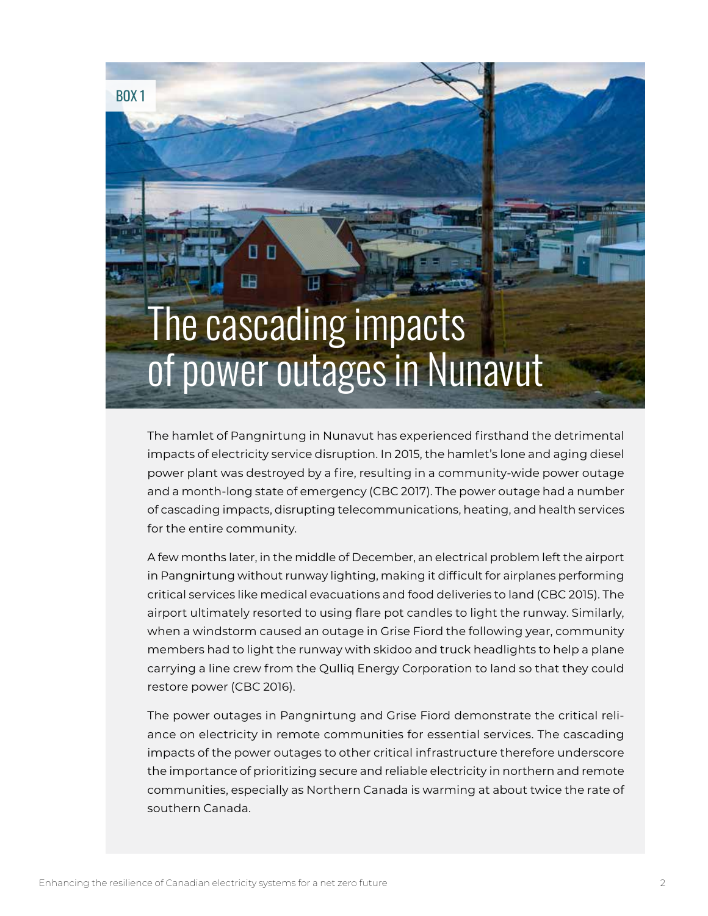# The cascading impacts of power outages in Nunavut BOX 1

The hamlet of Pangnirtung in Nunavut has experienced firsthand the detrimental impacts of electricity service disruption. In 2015, the hamlet's lone and aging diesel power plant was destroyed by a fire, resulting in a community-wide power outage and a month-long state of emergency (CBC 2017). The power outage had a number of cascading impacts, disrupting telecommunications, heating, and health services for the entire community.

A few months later, in the middle of December, an electrical problem left the airport in Pangnirtung without runway lighting, making it difficult for airplanes performing critical services like medical evacuations and food deliveries to land (CBC 2015). The airport ultimately resorted to using flare pot candles to light the runway. Similarly, when a windstorm caused an outage in Grise Fiord the following year, community members had to light the runway with skidoo and truck headlights to help a plane carrying a line crew from the Qulliq Energy Corporation to land so that they could restore power (CBC 2016).

The power outages in Pangnirtung and Grise Fiord demonstrate the critical reliance on electricity in remote communities for essential services. The cascading impacts of the power outages to other critical infrastructure therefore underscore the importance of prioritizing secure and reliable electricity in northern and remote communities, especially as Northern Canada is warming at about twice the rate of southern Canada.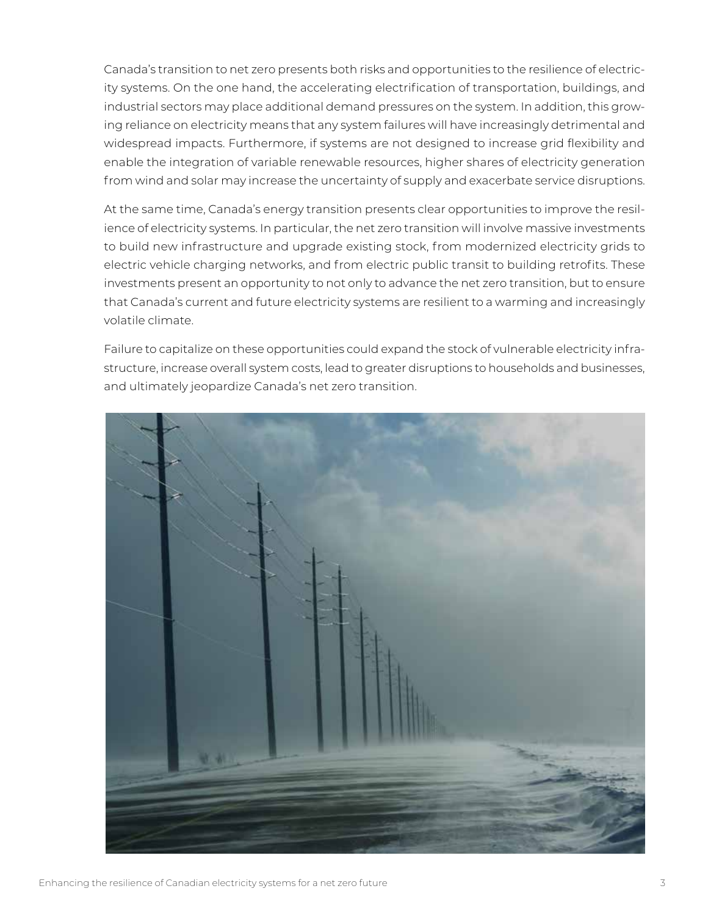Canada's transition to net zero presents both risks and opportunities to the resilience of electricity systems. On the one hand, the accelerating electrification of transportation, buildings, and industrial sectors may place additional demand pressures on the system. In addition, this growing reliance on electricity means that any system failures will have increasingly detrimental and widespread impacts. Furthermore, if systems are not designed to increase grid flexibility and enable the integration of variable renewable resources, higher shares of electricity generation from wind and solar may increase the uncertainty of supply and exacerbate service disruptions.

At the same time, Canada's energy transition presents clear opportunities to improve the resilience of electricity systems. In particular, the net zero transition will involve massive investments to build new infrastructure and upgrade existing stock, from modernized electricity grids to electric vehicle charging networks, and from electric public transit to building retrofits. These investments present an opportunity to not only to advance the net zero transition, but to ensure that Canada's current and future electricity systems are resilient to a warming and increasingly volatile climate.

Failure to capitalize on these opportunities could expand the stock of vulnerable electricity infrastructure, increase overall system costs, lead to greater disruptions to households and businesses, and ultimately jeopardize Canada's net zero transition.

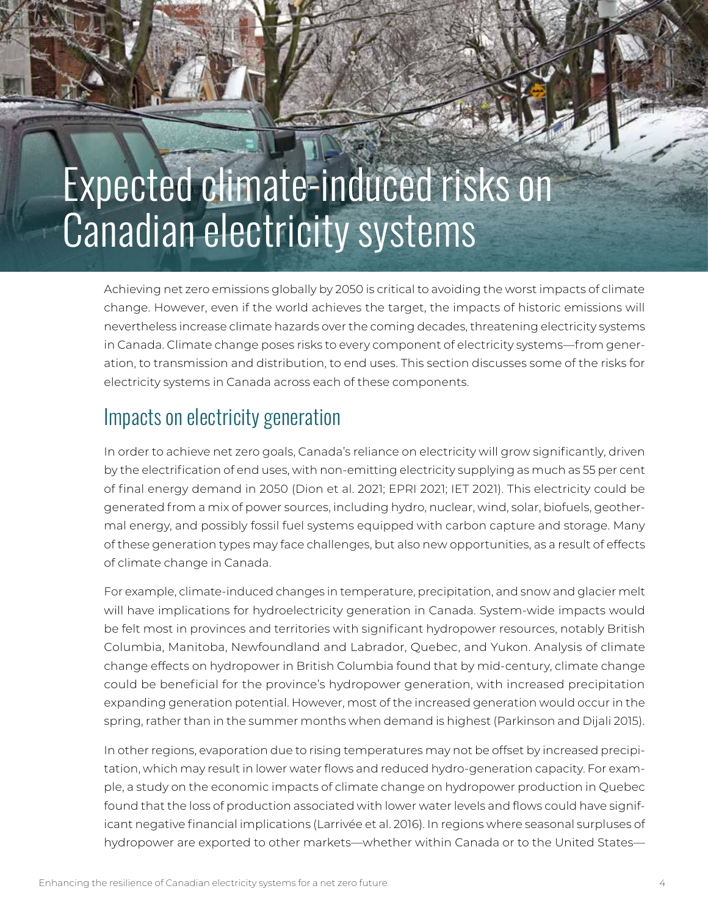# Expected climate-induced risks on Canadian electricity systems

Achieving net zero emissions globally by 2050 is critical to avoiding the worst impacts of climate change. However, even if the world achieves the target, the impacts of historic emissions will nevertheless increase climate hazards over the coming decades, threatening electricity systems in Canada. Climate change poses risks to every component of electricity systems—from generation, to transmission and distribution, to end uses. This section discusses some of the risks for electricity systems in Canada across each of these components.

## Impacts on electricity generation

In order to achieve net zero goals, Canada's reliance on electricity will grow significantly, driven by the electrification of end uses, with non-emitting electricity supplying as much as 55 per cent of final energy demand in 2050 (Dion et al. 2021; EPRI 2021; IET 2021). This electricity could be generated from a mix of power sources, including hydro, nuclear, wind, solar, biofuels, geothermal energy, and possibly fossil fuel systems equipped with carbon capture and storage. Many of these generation types may face challenges, but also new opportunities, as a result of effects of climate change in Canada.

For example, climate-induced changes in temperature, precipitation, and snow and glacier melt will have implications for hydroelectricity generation in Canada. System-wide impacts would be felt most in provinces and territories with significant hydropower resources, notably British Columbia, Manitoba, Newfoundland and Labrador, Quebec, and Yukon. Analysis of climate change effects on hydropower in British Columbia found that by mid-century, climate change could be beneficial for the province's hydropower generation, with increased precipitation expanding generation potential. However, most of the increased generation would occur in the spring, rather than in the summer months when demand is highest (Parkinson and Dijali 2015).

In other regions, evaporation due to rising temperatures may not be offset by increased precipitation, which may result in lower water flows and reduced hydro-generation capacity. For example, a study on the economic impacts of climate change on hydropower production in Quebec found that the loss of production associated with lower water levels and flows could have significant negative financial implications (Larrivée et al. 2016). In regions where seasonal surpluses of hydropower are exported to other markets—whether within Canada or to the United States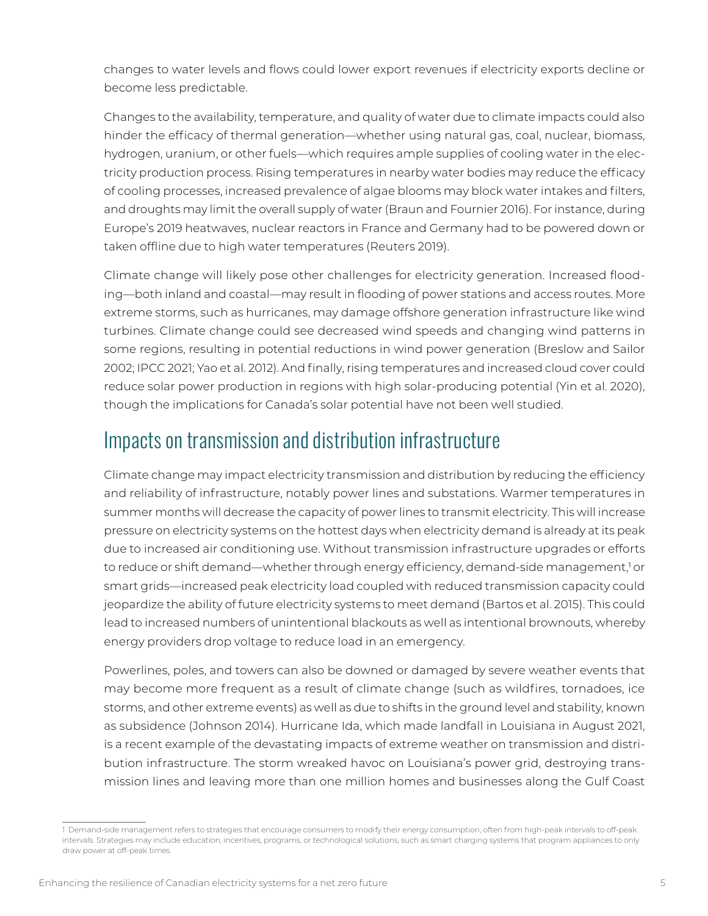changes to water levels and flows could lower export revenues if electricity exports decline or become less predictable.

Changes to the availability, temperature, and quality of water due to climate impacts could also hinder the efficacy of thermal generation—whether using natural gas, coal, nuclear, biomass, hydrogen, uranium, or other fuels—which requires ample supplies of cooling water in the electricity production process. Rising temperatures in nearby water bodies may reduce the efficacy of cooling processes, increased prevalence of algae blooms may block water intakes and filters, and droughts may limit the overall supply of water (Braun and Fournier 2016). For instance, during Europe's 2019 heatwaves, nuclear reactors in France and Germany had to be powered down or taken offline due to high water temperatures (Reuters 2019).

Climate change will likely pose other challenges for electricity generation. Increased flooding—both inland and coastal—may result in flooding of power stations and access routes. More extreme storms, such as hurricanes, may damage offshore generation infrastructure like wind turbines. Climate change could see decreased wind speeds and changing wind patterns in some regions, resulting in potential reductions in wind power generation (Breslow and Sailor 2002; IPCC 2021; Yao et al. 2012). And finally, rising temperatures and increased cloud cover could reduce solar power production in regions with high solar-producing potential (Yin et al. 2020), though the implications for Canada's solar potential have not been well studied.

# Impacts on transmission and distribution infrastructure

Climate change may impact electricity transmission and distribution by reducing the efficiency and reliability of infrastructure, notably power lines and substations. Warmer temperatures in summer months will decrease the capacity of power lines to transmit electricity. This will increase pressure on electricity systems on the hottest days when electricity demand is already at its peak due to increased air conditioning use. Without transmission infrastructure upgrades or efforts to reduce or shift demand—whether through energy efficiency, demand-side management,<sup>1</sup> or smart grids—increased peak electricity load coupled with reduced transmission capacity could jeopardize the ability of future electricity systems to meet demand (Bartos et al. 2015). This could lead to increased numbers of unintentional blackouts as well as intentional brownouts, whereby energy providers drop voltage to reduce load in an emergency.

Powerlines, poles, and towers can also be downed or damaged by severe weather events that may become more frequent as a result of climate change (such as wildfires, tornadoes, ice storms, and other extreme events) as well as due to shifts in the ground level and stability, known as subsidence (Johnson 2014). Hurricane Ida, which made landfall in Louisiana in August 2021, is a recent example of the devastating impacts of extreme weather on transmission and distribution infrastructure. The storm wreaked havoc on Louisiana's power grid, destroying transmission lines and leaving more than one million homes and businesses along the Gulf Coast

<sup>1</sup> Demand-side management refers to strategies that encourage consumers to modify their energy consumption, often from high-peak intervals to off-peak intervals. Strategies may include education, incentives, programs, or technological solutions, such as smart charging systems that program appliances to only draw power at off-peak times.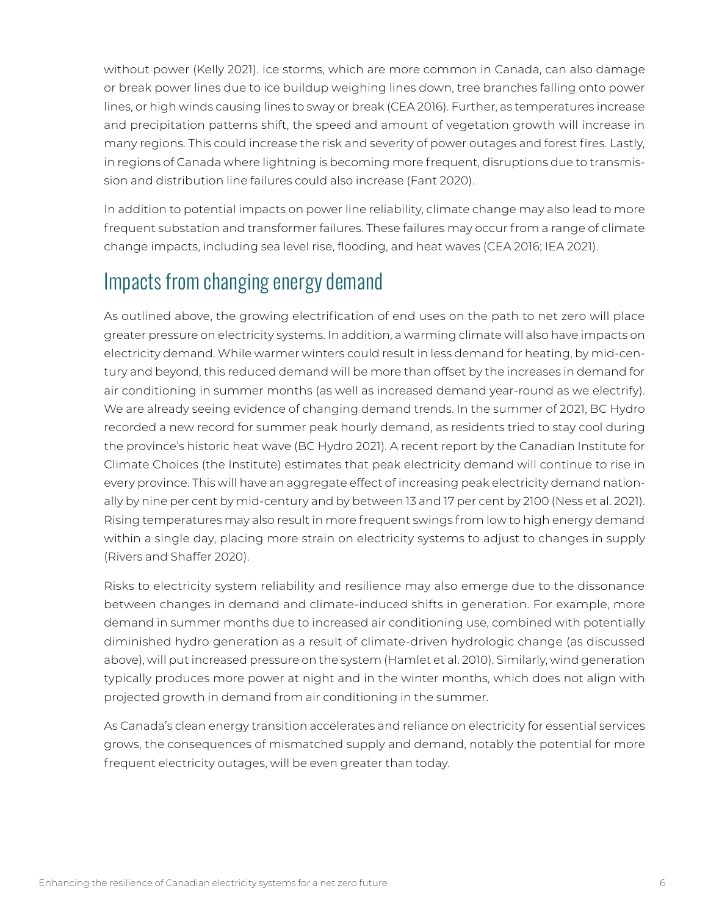without power (Kelly 2021). Ice storms, which are more common in Canada, can also damage or break power lines due to ice buildup weighing lines down, tree branches falling onto power lines, or high winds causing lines to sway or break (CEA 2016). Further, as temperatures increase and precipitation patterns shift, the speed and amount of vegetation growth will increase in many regions. This could increase the risk and severity of power outages and forest fires. Lastly, in regions of Canada where lightning is becoming more frequent, disruptions due to transmission and distribution line failures could also increase (Fant 2020).

In addition to potential impacts on power line reliability, climate change may also lead to more frequent substation and transformer failures. These failures may occur from a range of climate change impacts, including sea level rise, flooding, and heat waves (CEA 2016; IEA 2021).

## Impacts from changing energy demand

As outlined above, the growing electrification of end uses on the path to net zero will place greater pressure on electricity systems. In addition, a warming climate will also have impacts on electricity demand. While warmer winters could result in less demand for heating, by mid-century and beyond, this reduced demand will be more than offset by the increases in demand for air conditioning in summer months (as well as increased demand year-round as we electrify). We are already seeing evidence of changing demand trends. In the summer of 2021, BC Hydro recorded a new record for summer peak hourly demand, as residents tried to stay cool during the province's historic heat wave (BC Hydro 2021). A recent report by the Canadian Institute for Climate Choices (the Institute) estimates that peak electricity demand will continue to rise in every province. This will have an aggregate effect of increasing peak electricity demand nationally by nine per cent by mid-century and by between 13 and 17 per cent by 2100 (Ness et al. 2021). Rising temperatures may also result in more frequent swings from low to high energy demand within a single day, placing more strain on electricity systems to adjust to changes in supply (Rivers and Shaffer 2020).

Risks to electricity system reliability and resilience may also emerge due to the dissonance between changes in demand and climate-induced shifts in generation. For example, more demand in summer months due to increased air conditioning use, combined with potentially diminished hydro generation as a result of climate-driven hydrologic change (as discussed above), will put increased pressure on the system (Hamlet et al. 2010). Similarly, wind generation typically produces more power at night and in the winter months, which does not align with projected growth in demand from air conditioning in the summer.

As Canada's clean energy transition accelerates and reliance on electricity for essential services grows, the consequences of mismatched supply and demand, notably the potential for more frequent electricity outages, will be even greater than today.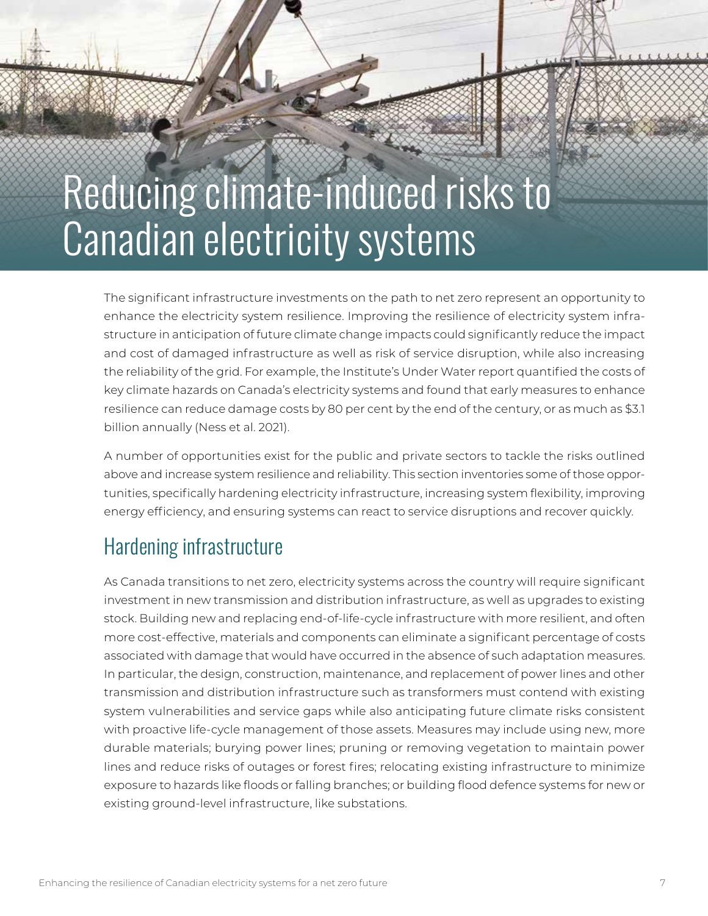# Reducing climate-induced risks to Canadian electricity systems

The significant infrastructure investments on the path to net zero represent an opportunity to enhance the electricity system resilience. Improving the resilience of electricity system infrastructure in anticipation of future climate change impacts could significantly reduce the impact and cost of damaged infrastructure as well as risk of service disruption, while also increasing the reliability of the grid. For example, the Institute's Under Water report quantified the costs of key climate hazards on Canada's electricity systems and found that early measures to enhance resilience can reduce damage costs by 80 per cent by the end of the century, or as much as \$3.1 billion annually (Ness et al. 2021).

A number of opportunities exist for the public and private sectors to tackle the risks outlined above and increase system resilience and reliability. This section inventories some of those opportunities, specifically hardening electricity infrastructure, increasing system flexibility, improving energy efficiency, and ensuring systems can react to service disruptions and recover quickly.

## Hardening infrastructure

As Canada transitions to net zero, electricity systems across the country will require significant investment in new transmission and distribution infrastructure, as well as upgrades to existing stock. Building new and replacing end-of-life-cycle infrastructure with more resilient, and often more cost-effective, materials and components can eliminate a significant percentage of costs associated with damage that would have occurred in the absence of such adaptation measures. In particular, the design, construction, maintenance, and replacement of power lines and other transmission and distribution infrastructure such as transformers must contend with existing system vulnerabilities and service gaps while also anticipating future climate risks consistent with proactive life-cycle management of those assets. Measures may include using new, more durable materials; burying power lines; pruning or removing vegetation to maintain power lines and reduce risks of outages or forest fires; relocating existing infrastructure to minimize exposure to hazards like floods or falling branches; or building flood defence systems for new or existing ground-level infrastructure, like substations.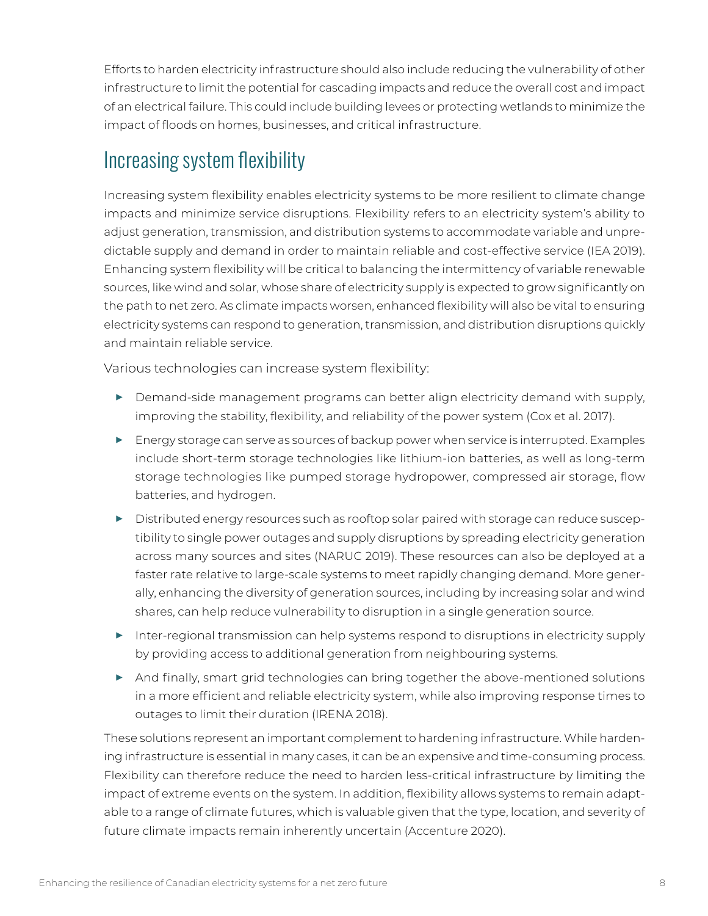Efforts to harden electricity infrastructure should also include reducing the vulnerability of other infrastructure to limit the potential for cascading impacts and reduce the overall cost and impact of an electrical failure. This could include building levees or protecting wetlands to minimize the impact of floods on homes, businesses, and critical infrastructure.

# Increasing system flexibility

Increasing system flexibility enables electricity systems to be more resilient to climate change impacts and minimize service disruptions. Flexibility refers to an electricity system's ability to adjust generation, transmission, and distribution systems to accommodate variable and unpredictable supply and demand in order to maintain reliable and cost-effective service (IEA 2019). Enhancing system flexibility will be critical to balancing the intermittency of variable renewable sources, like wind and solar, whose share of electricity supply is expected to grow significantly on the path to net zero. As climate impacts worsen, enhanced flexibility will also be vital to ensuring electricity systems can respond to generation, transmission, and distribution disruptions quickly and maintain reliable service.

Various technologies can increase system flexibility:

- **▶** Demand-side management programs can better align electricity demand with supply, improving the stability, flexibility, and reliability of the power system (Cox et al. 2017).
- **▶** Energy storage can serve as sources of backup power when service is interrupted. Examples include short-term storage technologies like lithium-ion batteries, as well as long-term storage technologies like pumped storage hydropower, compressed air storage, flow batteries, and hydrogen.
- **▶** Distributed energy resources such as rooftop solar paired with storage can reduce susceptibility to single power outages and supply disruptions by spreading electricity generation across many sources and sites (NARUC 2019). These resources can also be deployed at a faster rate relative to large-scale systems to meet rapidly changing demand. More generally, enhancing the diversity of generation sources, including by increasing solar and wind shares, can help reduce vulnerability to disruption in a single generation source.
- **▶** Inter-regional transmission can help systems respond to disruptions in electricity supply by providing access to additional generation from neighbouring systems.
- **▶** And finally, smart grid technologies can bring together the above-mentioned solutions in a more efficient and reliable electricity system, while also improving response times to outages to limit their duration (IRENA 2018).

These solutions represent an important complement to hardening infrastructure. While hardening infrastructure is essential in many cases, it can be an expensive and time-consuming process. Flexibility can therefore reduce the need to harden less-critical infrastructure by limiting the impact of extreme events on the system. In addition, flexibility allows systems to remain adaptable to a range of climate futures, which is valuable given that the type, location, and severity of future climate impacts remain inherently uncertain (Accenture 2020).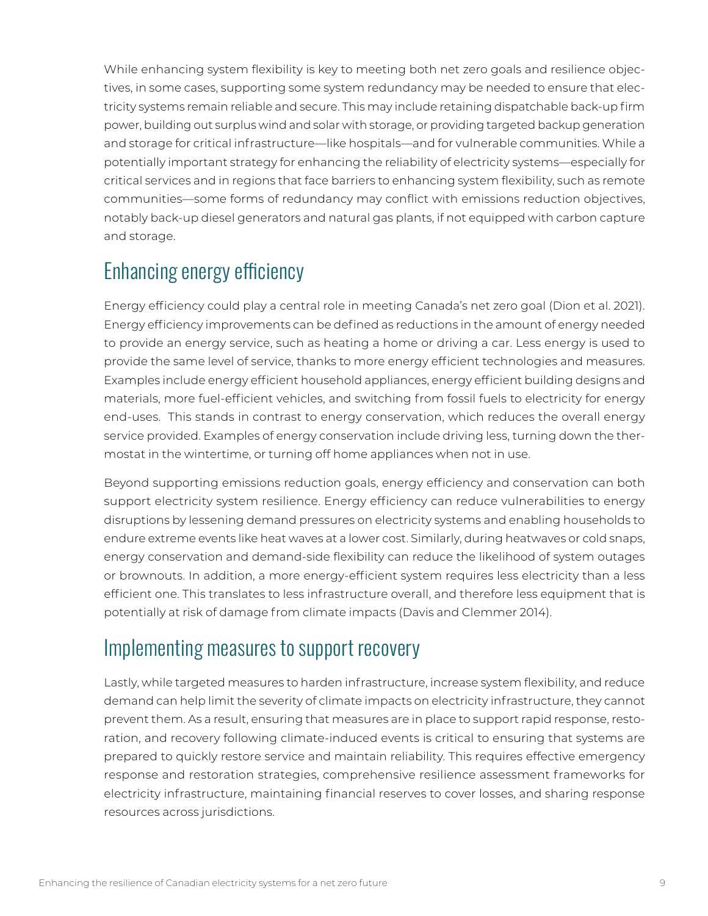While enhancing system flexibility is key to meeting both net zero goals and resilience objectives, in some cases, supporting some system redundancy may be needed to ensure that electricity systems remain reliable and secure. This may include retaining dispatchable back-up firm power, building out surplus wind and solar with storage, or providing targeted backup generation and storage for critical infrastructure—like hospitals—and for vulnerable communities. While a potentially important strategy for enhancing the reliability of electricity systems—especially for critical services and in regions that face barriers to enhancing system flexibility, such as remote communities—some forms of redundancy may conflict with emissions reduction objectives, notably back-up diesel generators and natural gas plants, if not equipped with carbon capture and storage.

# Enhancing energy efficiency

Energy efficiency could play a central role in meeting Canada's net zero goal (Dion et al. 2021). Energy efficiency improvements can be defined as reductions in the amount of energy needed to provide an energy service, such as heating a home or driving a car. Less energy is used to provide the same level of service, thanks to more energy efficient technologies and measures. Examples include energy efficient household appliances, energy efficient building designs and materials, more fuel-efficient vehicles, and switching from fossil fuels to electricity for energy end-uses. This stands in contrast to energy conservation, which reduces the overall energy service provided. Examples of energy conservation include driving less, turning down the thermostat in the wintertime, or turning off home appliances when not in use.

Beyond supporting emissions reduction goals, energy efficiency and conservation can both support electricity system resilience. Energy efficiency can reduce vulnerabilities to energy disruptions by lessening demand pressures on electricity systems and enabling households to endure extreme events like heat waves at a lower cost. Similarly, during heatwaves or cold snaps, energy conservation and demand-side flexibility can reduce the likelihood of system outages or brownouts. In addition, a more energy-efficient system requires less electricity than a less efficient one. This translates to less infrastructure overall, and therefore less equipment that is potentially at risk of damage from climate impacts (Davis and Clemmer 2014).

## Implementing measures to support recovery

Lastly, while targeted measures to harden infrastructure, increase system flexibility, and reduce demand can help limit the severity of climate impacts on electricity infrastructure, they cannot prevent them. As a result, ensuring that measures are in place to support rapid response, restoration, and recovery following climate-induced events is critical to ensuring that systems are prepared to quickly restore service and maintain reliability. This requires effective emergency response and restoration strategies, comprehensive resilience assessment frameworks for electricity infrastructure, maintaining financial reserves to cover losses, and sharing response resources across jurisdictions.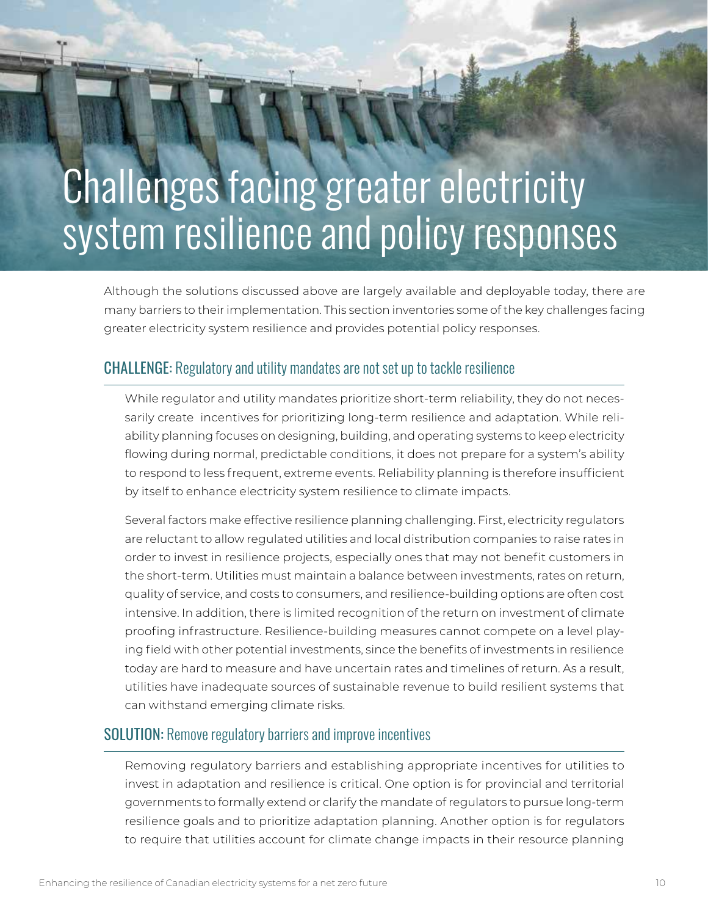# Challenges facing greater electricity system resilience and policy responses

Although the solutions discussed above are largely available and deployable today, there are many barriers to their implementation. This section inventories some of the key challenges facing greater electricity system resilience and provides potential policy responses.

#### CHALLENGE: Regulatory and utility mandates are not set up to tackle resilience

While regulator and utility mandates prioritize short-term reliability, they do not necessarily create incentives for prioritizing long-term resilience and adaptation. While reliability planning focuses on designing, building, and operating systems to keep electricity flowing during normal, predictable conditions, it does not prepare for a system's ability to respond to less frequent, extreme events. Reliability planning is therefore insufficient by itself to enhance electricity system resilience to climate impacts.

Several factors make effective resilience planning challenging. First, electricity regulators are reluctant to allow regulated utilities and local distribution companies to raise rates in order to invest in resilience projects, especially ones that may not benefit customers in the short-term. Utilities must maintain a balance between investments, rates on return, quality of service, and costs to consumers, and resilience-building options are often cost intensive. In addition, there is limited recognition of the return on investment of climate proofing infrastructure. Resilience-building measures cannot compete on a level playing field with other potential investments, since the benefits of investments in resilience today are hard to measure and have uncertain rates and timelines of return. As a result, utilities have inadequate sources of sustainable revenue to build resilient systems that can withstand emerging climate risks.

#### SOLUTION: Remove regulatory barriers and improve incentives

Removing regulatory barriers and establishing appropriate incentives for utilities to invest in adaptation and resilience is critical. One option is for provincial and territorial governments to formally extend or clarify the mandate of regulators to pursue long-term resilience goals and to prioritize adaptation planning. Another option is for regulators to require that utilities account for climate change impacts in their resource planning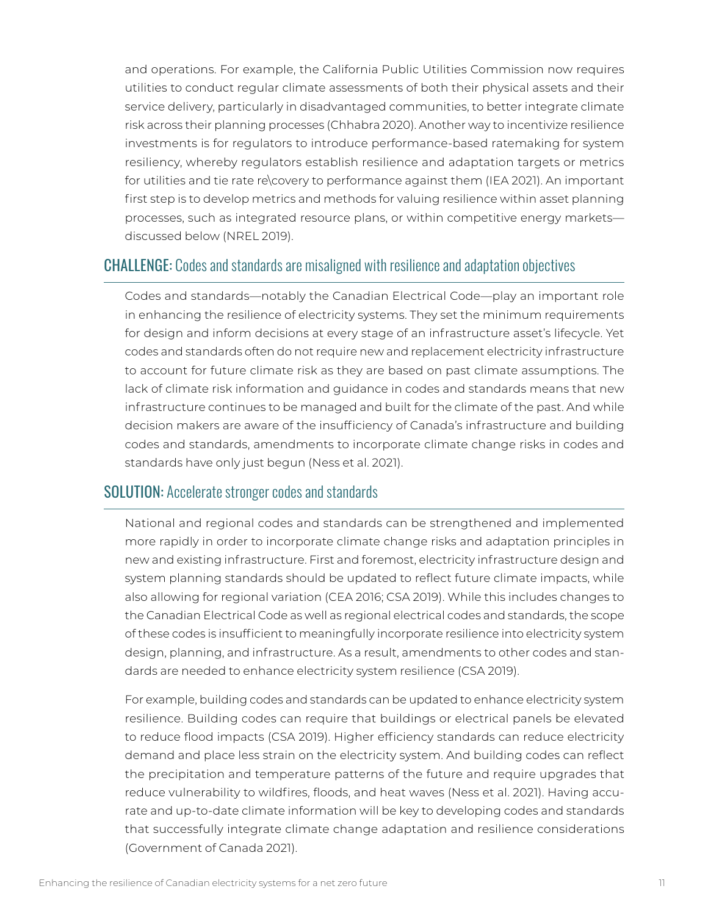and operations. For example, the California Public Utilities Commission now requires utilities to conduct regular climate assessments of both their physical assets and their service delivery, particularly in disadvantaged communities, to better integrate climate risk across their planning processes (Chhabra 2020). Another way to incentivize resilience investments is for regulators to introduce performance-based ratemaking for system resiliency, whereby regulators establish resilience and adaptation targets or metrics for utilities and tie rate re\covery to performance against them (IEA 2021). An important first step is to develop metrics and methods for valuing resilience within asset planning processes, such as integrated resource plans, or within competitive energy markets discussed below (NREL 2019).

#### CHALLENGE: Codes and standards are misaligned with resilience and adaptation objectives

Codes and standards—notably the Canadian Electrical Code—play an important role in enhancing the resilience of electricity systems. They set the minimum requirements for design and inform decisions at every stage of an infrastructure asset's lifecycle. Yet codes and standards often do not require new and replacement electricity infrastructure to account for future climate risk as they are based on past climate assumptions. The lack of climate risk information and guidance in codes and standards means that new infrastructure continues to be managed and built for the climate of the past. And while decision makers are aware of the insufficiency of Canada's infrastructure and building codes and standards, amendments to incorporate climate change risks in codes and standards have only just begun (Ness et al. 2021).

#### SOLUTION: Accelerate stronger codes and standards

National and regional codes and standards can be strengthened and implemented more rapidly in order to incorporate climate change risks and adaptation principles in new and existing infrastructure. First and foremost, electricity infrastructure design and system planning standards should be updated to reflect future climate impacts, while also allowing for regional variation (CEA 2016; CSA 2019). While this includes changes to the Canadian Electrical Code as well as regional electrical codes and standards, the scope of these codes is insufficient to meaningfully incorporate resilience into electricity system design, planning, and infrastructure. As a result, amendments to other codes and standards are needed to enhance electricity system resilience (CSA 2019).

For example, building codes and standards can be updated to enhance electricity system resilience. Building codes can require that buildings or electrical panels be elevated to reduce flood impacts (CSA 2019). Higher efficiency standards can reduce electricity demand and place less strain on the electricity system. And building codes can reflect the precipitation and temperature patterns of the future and require upgrades that reduce vulnerability to wildfires, floods, and heat waves (Ness et al. 2021). Having accurate and up-to-date climate information will be key to developing codes and standards that successfully integrate climate change adaptation and resilience considerations (Government of Canada 2021).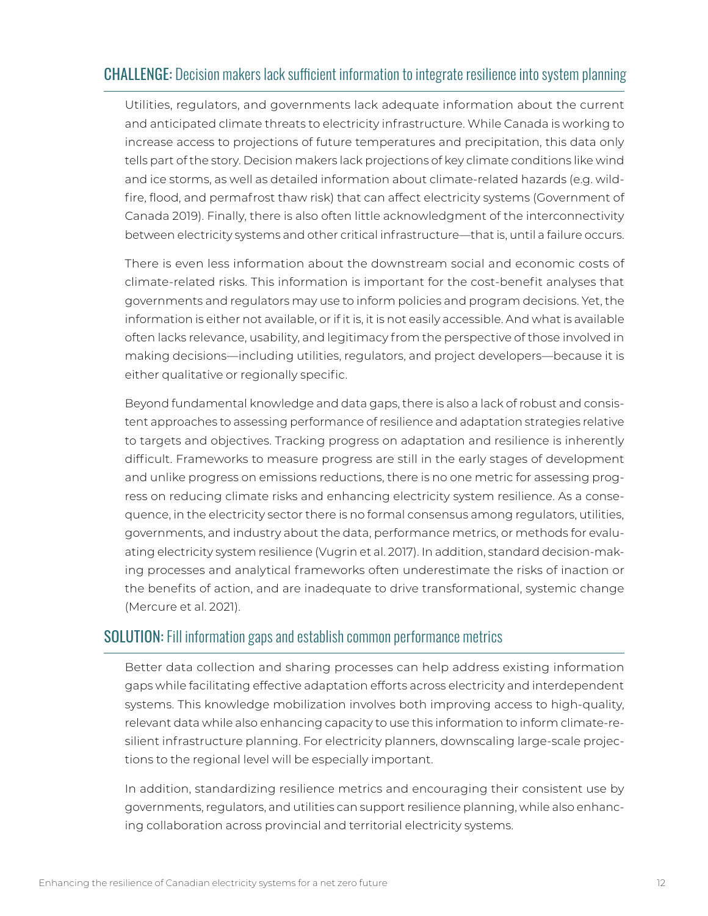### CHALLENGE: Decision makers lack sufficient information to integrate resilience into system planning

Utilities, regulators, and governments lack adequate information about the current and anticipated climate threats to electricity infrastructure. While Canada is working to increase access to projections of future temperatures and precipitation, this data only tells part of the story. Decision makers lack projections of key climate conditions like wind and ice storms, as well as detailed information about climate-related hazards (e.g. wildfire, flood, and permafrost thaw risk) that can affect electricity systems (Government of Canada 2019). Finally, there is also often little acknowledgment of the interconnectivity between electricity systems and other critical infrastructure—that is, until a failure occurs.

There is even less information about the downstream social and economic costs of climate-related risks. This information is important for the cost-benefit analyses that governments and regulators may use to inform policies and program decisions. Yet, the information is either not available, or if it is, it is not easily accessible. And what is available often lacks relevance, usability, and legitimacy from the perspective of those involved in making decisions—including utilities, regulators, and project developers—because it is either qualitative or regionally specific.

Beyond fundamental knowledge and data gaps, there is also a lack of robust and consistent approaches to assessing performance of resilience and adaptation strategies relative to targets and objectives. Tracking progress on adaptation and resilience is inherently difficult. Frameworks to measure progress are still in the early stages of development and unlike progress on emissions reductions, there is no one metric for assessing progress on reducing climate risks and enhancing electricity system resilience. As a consequence, in the electricity sector there is no formal consensus among regulators, utilities, governments, and industry about the data, performance metrics, or methods for evaluating electricity system resilience (Vugrin et al. 2017). In addition, standard decision-making processes and analytical frameworks often underestimate the risks of inaction or the benefits of action, and are inadequate to drive transformational, systemic change (Mercure et al. 2021).

#### SOLUTION: Fill information gaps and establish common performance metrics

Better data collection and sharing processes can help address existing information gaps while facilitating effective adaptation efforts across electricity and interdependent systems. This knowledge mobilization involves both improving access to high-quality, relevant data while also enhancing capacity to use this information to inform climate-resilient infrastructure planning. For electricity planners, downscaling large-scale projections to the regional level will be especially important.

In addition, standardizing resilience metrics and encouraging their consistent use by governments, regulators, and utilities can support resilience planning, while also enhancing collaboration across provincial and territorial electricity systems.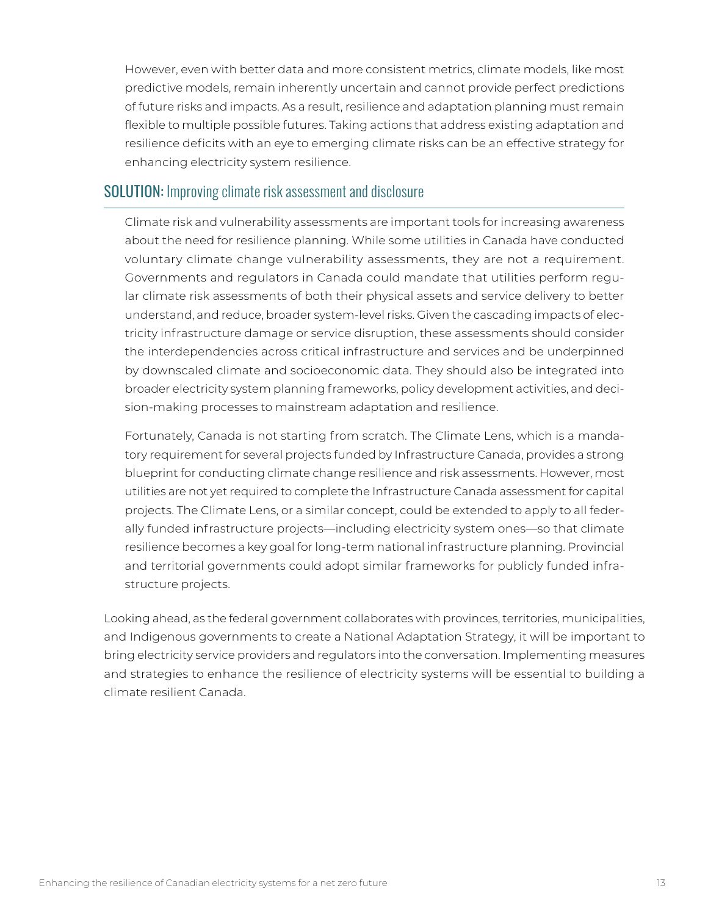However, even with better data and more consistent metrics, climate models, like most predictive models, remain inherently uncertain and cannot provide perfect predictions of future risks and impacts. As a result, resilience and adaptation planning must remain flexible to multiple possible futures. Taking actions that address existing adaptation and resilience deficits with an eye to emerging climate risks can be an effective strategy for enhancing electricity system resilience.

#### SOLUTION: Improving climate risk assessment and disclosure

Climate risk and vulnerability assessments are important tools for increasing awareness about the need for resilience planning. While some utilities in Canada have conducted voluntary climate change vulnerability assessments, they are not a requirement. Governments and regulators in Canada could mandate that utilities perform regular climate risk assessments of both their physical assets and service delivery to better understand, and reduce, broader system-level risks. Given the cascading impacts of electricity infrastructure damage or service disruption, these assessments should consider the interdependencies across critical infrastructure and services and be underpinned by downscaled climate and socioeconomic data. They should also be integrated into broader electricity system planning frameworks, policy development activities, and decision-making processes to mainstream adaptation and resilience.

Fortunately, Canada is not starting from scratch. The Climate Lens, which is a mandatory requirement for several projects funded by Infrastructure Canada, provides a strong blueprint for conducting climate change resilience and risk assessments. However, most utilities are not yet required to complete the Infrastructure Canada assessment for capital projects. The Climate Lens, or a similar concept, could be extended to apply to all federally funded infrastructure projects—including electricity system ones—so that climate resilience becomes a key goal for long-term national infrastructure planning. Provincial and territorial governments could adopt similar frameworks for publicly funded infrastructure projects.

Looking ahead, as the federal government collaborates with provinces, territories, municipalities, and Indigenous governments to create a National Adaptation Strategy, it will be important to bring electricity service providers and regulators into the conversation. Implementing measures and strategies to enhance the resilience of electricity systems will be essential to building a climate resilient Canada.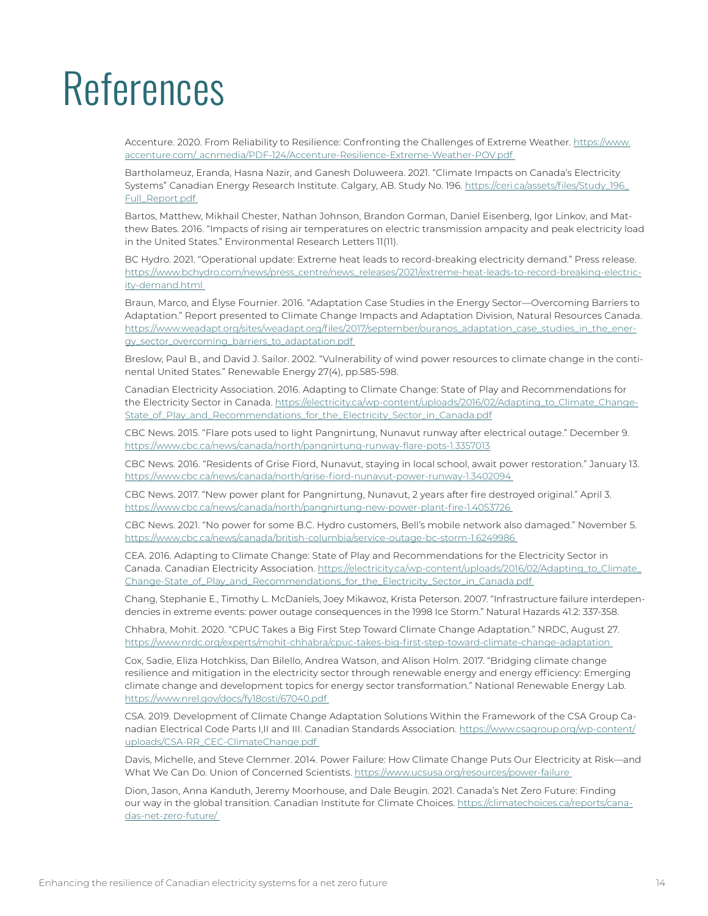# References

Accenture. 2020. From Reliability to Resilience: Confronting the Challenges of Extreme Weather. https://www. accenture.com/\_acnmedia/PDF-124/Accenture-Resilience-Extreme-Weather-POV.pdf

Bartholameuz, Eranda, Hasna Nazir, and Ganesh Doluweera. 2021. "Climate Impacts on Canada's Electricity Systems" Canadian Energy Research Institute. Calgary, AB. Study No. 196. https://ceri.ca/assets/files/Study\_196\_ Full\_Report.pdf

Bartos, Matthew, Mikhail Chester, Nathan Johnson, Brandon Gorman, Daniel Eisenberg, Igor Linkov, and Matthew Bates. 2016. "Impacts of rising air temperatures on electric transmission ampacity and peak electricity load in the United States." Environmental Research Letters 11(11).

BC Hydro. 2021. "Operational update: Extreme heat leads to record-breaking electricity demand." Press release. https://www.bchydro.com/news/press\_centre/news\_releases/2021/extreme-heat-leads-to-record-breaking-electricity-demand.html

Braun, Marco, and Élyse Fournier. 2016. "Adaptation Case Studies in the Energy Sector—Overcoming Barriers to Adaptation." Report presented to Climate Change Impacts and Adaptation Division, Natural Resources Canada. https://www.weadapt.org/sites/weadapt.org/files/2017/september/ouranos\_adaptation\_case\_studies\_in\_the\_energy\_sector\_overcoming\_barriers\_to\_adaptation.pdf

Breslow, Paul B., and David J. Sailor. 2002. "Vulnerability of wind power resources to climate change in the continental United States." Renewable Energy 27(4), pp.585-598.

Canadian Electricity Association. 2016. Adapting to Climate Change: State of Play and Recommendations for the Electricity Sector in Canada. https://electricity.ca/wp-content/uploads/2016/02/Adapting\_to\_Climate\_Change-State\_of\_Play\_and\_Recommendations\_for\_the\_Electricity\_Sector\_in\_Canada.pdf

CBC News. 2015. "Flare pots used to light Pangnirtung, Nunavut runway after electrical outage." December 9. https://www.cbc.ca/news/canada/north/pangnirtung-runway-flare-pots-1.3357013

CBC News. 2016. "Residents of Grise Fiord, Nunavut, staying in local school, await power restoration." January 13. https://www.cbc.ca/news/canada/north/grise-fiord-nunavut-power-runway-1.3402094

CBC News. 2017. "New power plant for Pangnirtung, Nunavut, 2 years after fire destroyed original." April 3. https://www.cbc.ca/news/canada/north/pangnirtung-new-power-plant-fire-1.4053726

CBC News. 2021. "No power for some B.C. Hydro customers, Bell's mobile network also damaged." November 5. https://www.cbc.ca/news/canada/british-columbia/service-outage-bc-storm-1.6249986

CEA. 2016. Adapting to Climate Change: State of Play and Recommendations for the Electricity Sector in Canada. Canadian Electricity Association. https://electricity.ca/wp-content/uploads/2016/02/Adapting\_to\_Climate\_ Change-State\_of\_Play\_and\_Recommendations\_for\_the\_Electricity\_Sector\_in\_Canada.pdf

Chang, Stephanie E., Timothy L. McDaniels, Joey Mikawoz, Krista Peterson. 2007. "Infrastructure failure interdependencies in extreme events: power outage consequences in the 1998 Ice Storm." Natural Hazards 41.2: 337-358.

Chhabra, Mohit. 2020. "CPUC Takes a Big First Step Toward Climate Change Adaptation." NRDC, August 27. https://www.nrdc.org/experts/mohit-chhabra/cpuc-takes-big-first-step-toward-climate-change-adaptation

Cox, Sadie, Eliza Hotchkiss, Dan Bilello, Andrea Watson, and Alison Holm. 2017. "Bridging climate change resilience and mitigation in the electricity sector through renewable energy and energy efficiency: Emerging climate change and development topics for energy sector transformation." National Renewable Energy Lab. https://www.nrel.gov/docs/fy18osti/67040.pdf

CSA. 2019. Development of Climate Change Adaptation Solutions Within the Framework of the CSA Group Canadian Electrical Code Parts I,II and III. Canadian Standards Association. https://www.csagroup.org/wp-content/ uploads/CSA-RR\_CEC-ClimateChange.pdf

Davis, Michelle, and Steve Clemmer. 2014. Power Failure: How Climate Change Puts Our Electricity at Risk—and What We Can Do. Union of Concerned Scientists. https://www.ucsusa.org/resources/power-failure

Dion, Jason, Anna Kanduth, Jeremy Moorhouse, and Dale Beugin. 2021. Canada's Net Zero Future: Finding our way in the global transition. Canadian Institute for Climate Choices. https://climatechoices.ca/reports/canadas-net-zero-future/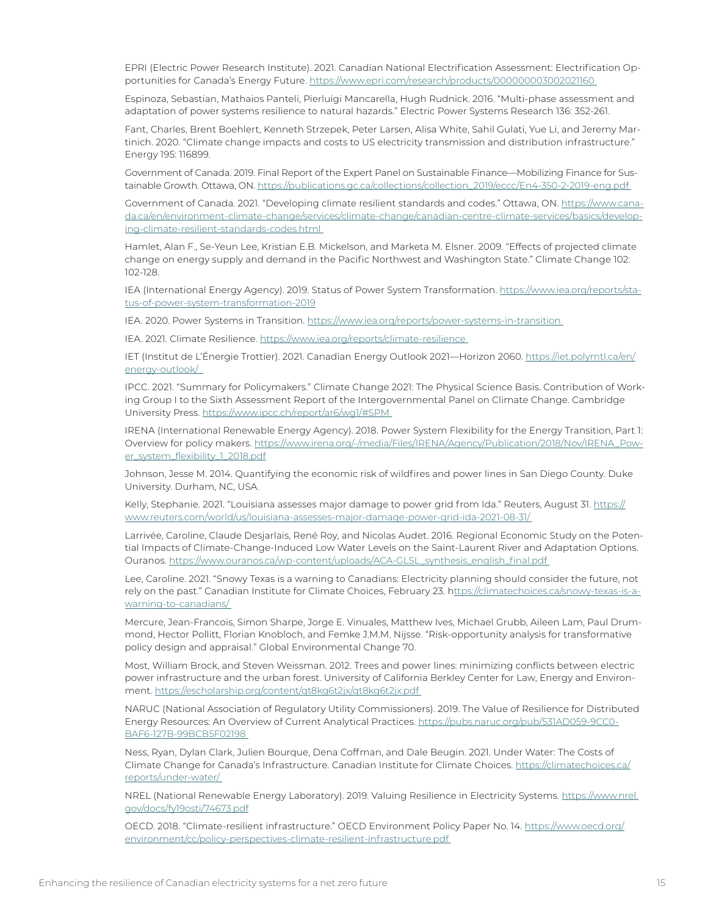EPRI (Electric Power Research Institute). 2021. Canadian National Electrification Assessment: Electrification Opportunities for Canada's Energy Future. https://www.epri.com/research/products/000000003002021160

Espinoza, Sebastian, Mathaios Panteli, Pierluigi Mancarella, Hugh Rudnick. 2016. "Multi-phase assessment and adaptation of power systems resilience to natural hazards." Electric Power Systems Research 136: 352-261.

Fant, Charles, Brent Boehlert, Kenneth Strzepek, Peter Larsen, Alisa White, Sahil Gulati, Yue Li, and Jeremy Martinich. 2020. "Climate change impacts and costs to US electricity transmission and distribution infrastructure." Energy 195: 116899.

Government of Canada. 2019. Final Report of the Expert Panel on Sustainable Finance—Mobilizing Finance for Sustainable Growth. Ottawa, ON. https://publications.gc.ca/collections/collection\_2019/eccc/En4-350-2-2019-eng.pdf

Government of Canada. 2021. "Developing climate resilient standards and codes." Ottawa, ON. https://www.canada.ca/en/environment-climate-change/services/climate-change/canadian-centre-climate-services/basics/developing-climate-resilient-standards-codes.html

Hamlet, Alan F., Se-Yeun Lee, Kristian E.B. Mickelson, and Marketa M. Elsner. 2009. "Effects of projected climate change on energy supply and demand in the Pacific Northwest and Washington State." Climate Change 102: 102-128.

IEA (International Energy Agency). 2019. Status of Power System Transformation. https://www.iea.org/reports/status-of-power-system-transformation-2019

IEA. 2020. Power Systems in Transition. https://www.iea.org/reports/power-systems-in-transition

IEA. 2021. Climate Resilience. https://www.iea.org/reports/climate-resilience

IET (Institut de L'Énergie Trottier). 2021. Canadian Energy Outlook 2021—Horizon 2060. https://iet.polymtl.ca/en/ energy-outlook/

IPCC. 2021. "Summary for Policymakers." Climate Change 2021: The Physical Science Basis. Contribution of Working Group I to the Sixth Assessment Report of the Intergovernmental Panel on Climate Change. Cambridge University Press. https://www.ipcc.ch/report/ar6/wg1/#SPM

IRENA (International Renewable Energy Agency). 2018. Power System Flexibility for the Energy Transition, Part 1: Overview for policy makers. https://www.irena.org/-/media/Files/IRENA/Agency/Publication/2018/Nov/IRENA\_Power\_system\_flexibility\_1\_2018.pdf

Johnson, Jesse M. 2014. Quantifying the economic risk of wildfires and power lines in San Diego County. Duke University. Durham, NC, USA.

Kelly, Stephanie. 2021. "Louisiana assesses major damage to power grid from Ida." Reuters, August 31. https:// www.reuters.com/world/us/louisiana-assesses-major-damage-power-grid-ida-2021-08-31/

Larrivée, Caroline, Claude Desjarlais, René Roy, and Nicolas Audet. 2016. Regional Economic Study on the Potential Impacts of Climate-Change-Induced Low Water Levels on the Saint-Laurent River and Adaptation Options. Ouranos. https://www.ouranos.ca/wp-content/uploads/ACA-GLSL\_synthesis\_english\_final.pdf

Lee, Caroline. 2021. "Snowy Texas is a warning to Canadians: Electricity planning should consider the future, not rely on the past." Canadian Institute for Climate Choices, February 23. https://climatechoices.ca/snowy-texas-is-awarning-to-canadians/

Mercure, Jean-Francois, Simon Sharpe, Jorge E. Vinuales, Matthew Ives, Michael Grubb, Aileen Lam, Paul Drummond, Hector Pollitt, Florian Knobloch, and Femke J.M.M. Nijsse. "Risk-opportunity analysis for transformative policy design and appraisal." Global Environmental Change 70.

Most, William Brock, and Steven Weissman. 2012. Trees and power lines: minimizing conflicts between electric power infrastructure and the urban forest. University of California Berkley Center for Law, Energy and Environment. https://escholarship.org/content/qt8kg6t2jx/qt8kg6t2jx.pdf

NARUC (National Association of Regulatory Utility Commissioners). 2019. The Value of Resilience for Distributed Energy Resources: An Overview of Current Analytical Practices. https://pubs.naruc.org/pub/531AD059-9CC0- BAF6-127B-99BCB5F02198

Ness, Ryan, Dylan Clark, Julien Bourque, Dena Coffman, and Dale Beugin. 2021. Under Water: The Costs of Climate Change for Canada's Infrastructure. Canadian Institute for Climate Choices. https://climatechoices.ca/ reports/under-water/

NREL (National Renewable Energy Laboratory). 2019. Valuing Resilience in Electricity Systems. https://www.nrel. gov/docs/fy19osti/74673.pdf

OECD. 2018. "Climate-resilient infrastructure." OECD Environment Policy Paper No. 14. https://www.oecd.org/ environment/cc/policy-perspectives-climate-resilient-infrastructure.pdf